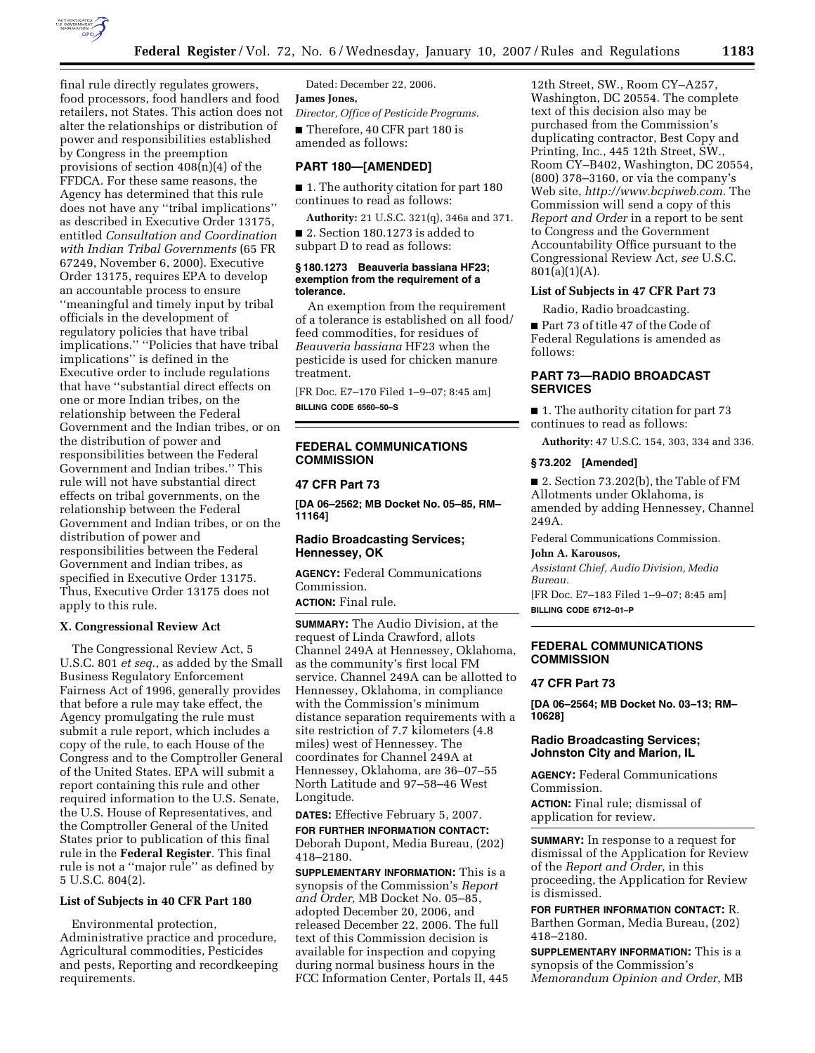

final rule directly regulates growers, food processors, food handlers and food retailers, not States. This action does not alter the relationships or distribution of power and responsibilities established by Congress in the preemption provisions of section 408(n)(4) of the FFDCA. For these same reasons, the Agency has determined that this rule does not have any ''tribal implications'' as described in Executive Order 13175, entitled *Consultation and Coordination with Indian Tribal Governments* (65 FR 67249, November 6, 2000). Executive Order 13175, requires EPA to develop an accountable process to ensure ''meaningful and timely input by tribal officials in the development of regulatory policies that have tribal implications.'' ''Policies that have tribal implications'' is defined in the Executive order to include regulations that have ''substantial direct effects on one or more Indian tribes, on the relationship between the Federal Government and the Indian tribes, or on the distribution of power and responsibilities between the Federal Government and Indian tribes.'' This rule will not have substantial direct effects on tribal governments, on the relationship between the Federal Government and Indian tribes, or on the distribution of power and responsibilities between the Federal Government and Indian tribes, as specified in Executive Order 13175. Thus, Executive Order 13175 does not apply to this rule.

#### **X. Congressional Review Act**

The Congressional Review Act, 5 U.S.C. 801 *et seq*., as added by the Small Business Regulatory Enforcement Fairness Act of 1996, generally provides that before a rule may take effect, the Agency promulgating the rule must submit a rule report, which includes a copy of the rule, to each House of the Congress and to the Comptroller General of the United States. EPA will submit a report containing this rule and other required information to the U.S. Senate, the U.S. House of Representatives, and the Comptroller General of the United States prior to publication of this final rule in the **Federal Register**. This final rule is not a ''major rule'' as defined by 5 U.S.C. 804(2).

#### **List of Subjects in 40 CFR Part 180**

Environmental protection, Administrative practice and procedure, Agricultural commodities, Pesticides and pests, Reporting and recordkeeping requirements.

Dated: December 22, 2006. **James Jones,**  *Director, Office of Pesticide Programs.*  ■ Therefore, 40 CFR part 180 is amended as follows:

### **PART 180—[AMENDED]**

■ 1. The authority citation for part 180 continues to read as follows:

**Authority:** 21 U.S.C. 321(q), 346a and 371. ■ 2. Section 180.1273 is added to subpart D to read as follows:

#### **§ 180.1273 Beauveria bassiana HF23; exemption from the requirement of a tolerance.**

An exemption from the requirement of a tolerance is established on all food/ feed commodities, for residues of *Beauveria bassiana* HF23 when the pesticide is used for chicken manure treatment.

[FR Doc. E7–170 Filed 1–9–07; 8:45 am] **BILLING CODE 6560–50–S** 

## **FEDERAL COMMUNICATIONS COMMISSION**

#### **47 CFR Part 73**

**[DA 06–2562; MB Docket No. 05–85, RM– 11164]** 

### **Radio Broadcasting Services; Hennessey, OK**

**AGENCY:** Federal Communications Commission.

**ACTION:** Final rule.

**SUMMARY:** The Audio Division, at the request of Linda Crawford, allots Channel 249A at Hennessey, Oklahoma, as the community's first local FM service. Channel 249A can be allotted to Hennessey, Oklahoma, in compliance with the Commission's minimum distance separation requirements with a site restriction of 7.7 kilometers (4.8 miles) west of Hennessey. The coordinates for Channel 249A at Hennessey, Oklahoma, are 36–07–55 North Latitude and 97–58–46 West Longitude.

**DATES:** Effective February 5, 2007.

**FOR FURTHER INFORMATION CONTACT:**  Deborah Dupont, Media Bureau, (202) 418–2180.

**SUPPLEMENTARY INFORMATION:** This is a synopsis of the Commission's *Report and Order,* MB Docket No. 05–85, adopted December 20, 2006, and released December 22, 2006. The full text of this Commission decision is available for inspection and copying during normal business hours in the FCC Information Center, Portals II, 445

12th Street, SW., Room CY–A257, Washington, DC 20554. The complete text of this decision also may be purchased from the Commission's duplicating contractor, Best Copy and Printing, Inc., 445 12th Street, SW., Room CY–B402, Washington, DC 20554, (800) 378–3160, or via the company's Web site, *http://www.bcpiweb.com.* The Commission will send a copy of this *Report and Order* in a report to be sent to Congress and the Government Accountability Office pursuant to the Congressional Review Act, *see* U.S.C.  $801(a)(1)(A)$ .

## **List of Subjects in 47 CFR Part 73**

Radio, Radio broadcasting. ■ Part 73 of title 47 of the Code of Federal Regulations is amended as follows:

## **PART 73—RADIO BROADCAST SERVICES**

■ 1. The authority citation for part 73 continues to read as follows:

**Authority:** 47 U.S.C. 154, 303, 334 and 336.

#### **§ 73.202 [Amended]**

■ 2. Section 73.202(b), the Table of FM Allotments under Oklahoma, is amended by adding Hennessey, Channel 249A.

Federal Communications Commission.

**John A. Karousos,**  *Assistant Chief, Audio Division, Media Bureau.* 

[FR Doc. E7–183 Filed 1–9–07; 8:45 am] **BILLING CODE 6712–01–P** 

## **FEDERAL COMMUNICATIONS COMMISSION**

#### **47 CFR Part 73**

**[DA 06–2564; MB Docket No. 03–13; RM– 10628]** 

## **Radio Broadcasting Services; Johnston City and Marion, IL**

**AGENCY:** Federal Communications Commission.

**ACTION:** Final rule; dismissal of application for review.

**SUMMARY:** In response to a request for dismissal of the Application for Review of the *Report and Order*, in this proceeding, the Application for Review is dismissed.

**FOR FURTHER INFORMATION CONTACT:** R. Barthen Gorman, Media Bureau, (202) 418–2180.

**SUPPLEMENTARY INFORMATION:** This is a synopsis of the Commission's *Memorandum Opinion and Order*, MB